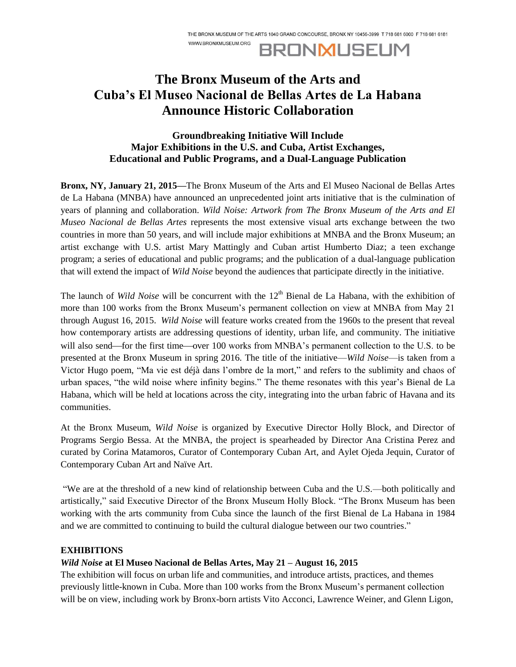WWW.BRONXMUSEUM.ORG

**BRONMUSEUM** 

## **The Bronx Museum of the Arts and Cuba's El Museo Nacional de Bellas Artes de La Habana Announce Historic Collaboration**

## **Groundbreaking Initiative Will Include Major Exhibitions in the U.S. and Cuba, Artist Exchanges, Educational and Public Programs, and a Dual-Language Publication**

**Bronx, NY, January 21, 2015—**The Bronx Museum of the Arts and El Museo Nacional de Bellas Artes de La Habana (MNBA) have announced an unprecedented joint arts initiative that is the culmination of years of planning and collaboration. *Wild Noise: Artwork from The Bronx Museum of the Arts and El Museo Nacional de Bellas Artes* represents the most extensive visual arts exchange between the two countries in more than 50 years, and will include major exhibitions at MNBA and the Bronx Museum; an artist exchange with U.S. artist Mary Mattingly and Cuban artist Humberto Diaz; a teen exchange program; a series of educational and public programs; and the publication of a dual-language publication that will extend the impact of *Wild Noise* beyond the audiences that participate directly in the initiative.

The launch of *Wild Noise* will be concurrent with the 12<sup>th</sup> Bienal de La Habana, with the exhibition of more than 100 works from the Bronx Museum's permanent collection on view at MNBA from May 21 through August 16, 2015. *Wild Noise* will feature works created from the 1960s to the present that reveal how contemporary artists are addressing questions of identity, urban life, and community. The initiative will also send—for the first time—over 100 works from MNBA's permanent collection to the U.S. to be presented at the Bronx Museum in spring 2016. The title of the initiative—*Wild Noise*—is taken from a Victor Hugo poem, "Ma vie est déjà dans l'ombre de la mort," and refers to the sublimity and chaos of urban spaces, "the wild noise where infinity begins." The theme resonates with this year's Bienal de La Habana, which will be held at locations across the city, integrating into the urban fabric of Havana and its communities.

At the Bronx Museum, *Wild Noise* is organized by Executive Director Holly Block, and Director of Programs Sergio Bessa. At the MNBA, the project is spearheaded by Director Ana Cristina Perez and curated by Corina Matamoros, Curator of Contemporary Cuban Art, and Aylet Ojeda Jequin, Curator of Contemporary Cuban Art and Naïve Art.

"We are at the threshold of a new kind of relationship between Cuba and the U.S.—both politically and artistically," said Executive Director of the Bronx Museum Holly Block. "The Bronx Museum has been working with the arts community from Cuba since the launch of the first Bienal de La Habana in 1984 and we are committed to continuing to build the cultural dialogue between our two countries."

#### **EXHIBITIONS**

### *Wild Noise* **at El Museo Nacional de Bellas Artes, May 21 – August 16, 2015**

The exhibition will focus on urban life and communities, and introduce artists, practices, and themes previously little-known in Cuba. More than 100 works from the Bronx Museum's permanent collection will be on view, including work by Bronx-born artists Vito Acconci, Lawrence Weiner, and Glenn Ligon,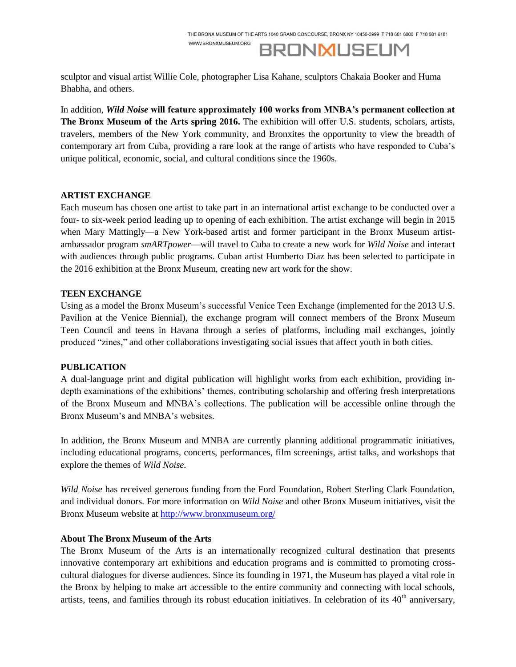WWW.BRONXMUSEUM.ORG

**BRONMUSEUM** 

sculptor and visual artist Willie Cole, photographer Lisa Kahane, sculptors Chakaia Booker and Huma Bhabha, and others.

In addition, *Wild Noise* **will feature approximately 100 works from MNBA's permanent collection at The Bronx Museum of the Arts spring 2016.** The exhibition will offer U.S. students, scholars, artists, travelers, members of the New York community, and Bronxites the opportunity to view the breadth of contemporary art from Cuba, providing a rare look at the range of artists who have responded to Cuba's unique political, economic, social, and cultural conditions since the 1960s.

#### **ARTIST EXCHANGE**

Each museum has chosen one artist to take part in an international artist exchange to be conducted over a four- to six-week period leading up to opening of each exhibition. The artist exchange will begin in 2015 when Mary Mattingly—a New York-based artist and former participant in the Bronx Museum artistambassador program *smARTpower*—will travel to Cuba to create a new work for *Wild Noise* and interact with audiences through public programs. Cuban artist Humberto Diaz has been selected to participate in the 2016 exhibition at the Bronx Museum, creating new art work for the show.

#### **TEEN EXCHANGE**

Using as a model the Bronx Museum's successful Venice Teen Exchange (implemented for the 2013 U.S. Pavilion at the Venice Biennial), the exchange program will connect members of the Bronx Museum Teen Council and teens in Havana through a series of platforms, including mail exchanges, jointly produced "zines," and other collaborations investigating social issues that affect youth in both cities.

#### **PUBLICATION**

A dual-language print and digital publication will highlight works from each exhibition, providing indepth examinations of the exhibitions' themes, contributing scholarship and offering fresh interpretations of the Bronx Museum and MNBA's collections. The publication will be accessible online through the Bronx Museum's and MNBA's websites.

In addition, the Bronx Museum and MNBA are currently planning additional programmatic initiatives, including educational programs, concerts, performances, film screenings, artist talks, and workshops that explore the themes of *Wild Noise.*

*Wild Noise* has received generous funding from the Ford Foundation, Robert Sterling Clark Foundation, and individual donors. For more information on *Wild Noise* and other Bronx Museum initiatives, visit the Bronx Museum website at<http://www.bronxmuseum.org/>

#### **About The Bronx Museum of the Arts**

The Bronx Museum of the Arts is an internationally recognized cultural destination that presents innovative contemporary art exhibitions and education programs and is committed to promoting crosscultural dialogues for diverse audiences. Since its founding in 1971, the Museum has played a vital role in the Bronx by helping to make art accessible to the entire community and connecting with local schools, artists, teens, and families through its robust education initiatives. In celebration of its  $40<sup>th</sup>$  anniversary,